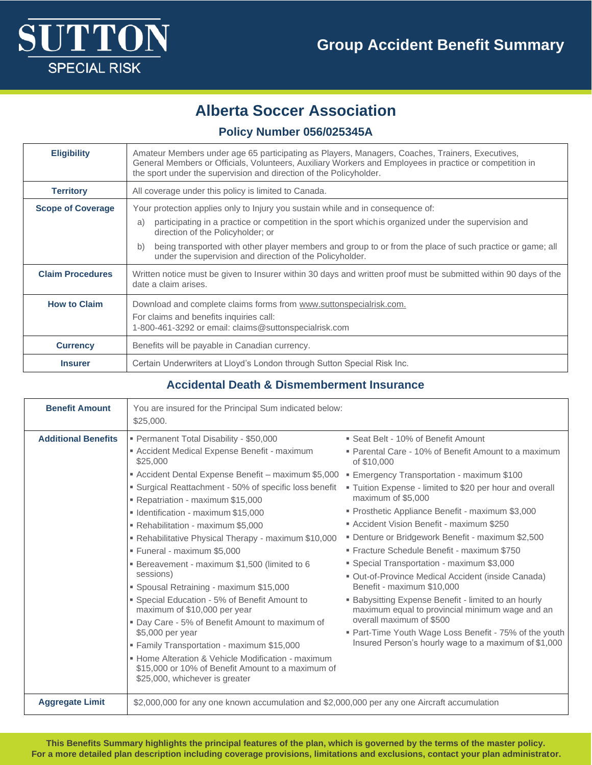

# **Alberta Soccer Association**

### **Policy Number 056/025345A**

| <b>Eligibility</b>       | Amateur Members under age 65 participating as Players, Managers, Coaches, Trainers, Executives,<br>General Members or Officials, Volunteers, Auxiliary Workers and Employees in practice or competition in<br>the sport under the supervision and direction of the Policyholder. |
|--------------------------|----------------------------------------------------------------------------------------------------------------------------------------------------------------------------------------------------------------------------------------------------------------------------------|
| <b>Territory</b>         | All coverage under this policy is limited to Canada.                                                                                                                                                                                                                             |
| <b>Scope of Coverage</b> | Your protection applies only to Injury you sustain while and in consequence of:<br>participating in a practice or competition in the sport which is organized under the supervision and<br>a)                                                                                    |
|                          | direction of the Policyholder; or                                                                                                                                                                                                                                                |
|                          | being transported with other player members and group to or from the place of such practice or game; all<br>b)<br>under the supervision and direction of the Policyholder.                                                                                                       |
| <b>Claim Procedures</b>  | Written notice must be given to Insurer within 30 days and written proof must be submitted within 90 days of the<br>date a claim arises.                                                                                                                                         |
| <b>How to Claim</b>      | Download and complete claims forms from www.suttonspecialrisk.com.<br>For claims and benefits inquiries call:<br>1-800-461-3292 or email: claims@suttonspecialrisk.com                                                                                                           |
| <b>Currency</b>          | Benefits will be payable in Canadian currency.                                                                                                                                                                                                                                   |
| <b>Insurer</b>           | Certain Underwriters at Lloyd's London through Sutton Special Risk Inc.                                                                                                                                                                                                          |

### **Accidental Death & Dismemberment Insurance**

| <b>Benefit Amount</b>      | You are insured for the Principal Sum indicated below:<br>\$25,000.                                                                                                                                                                                                                                                                                                                                                                                                                                                                                                                                                                                                                                                                                                                                                                                                           |                                                                                                                                                                                                                                                                                                                                                                                                                                                                                                                                                                                                                                                                                                                                                                                                                                                  |
|----------------------------|-------------------------------------------------------------------------------------------------------------------------------------------------------------------------------------------------------------------------------------------------------------------------------------------------------------------------------------------------------------------------------------------------------------------------------------------------------------------------------------------------------------------------------------------------------------------------------------------------------------------------------------------------------------------------------------------------------------------------------------------------------------------------------------------------------------------------------------------------------------------------------|--------------------------------------------------------------------------------------------------------------------------------------------------------------------------------------------------------------------------------------------------------------------------------------------------------------------------------------------------------------------------------------------------------------------------------------------------------------------------------------------------------------------------------------------------------------------------------------------------------------------------------------------------------------------------------------------------------------------------------------------------------------------------------------------------------------------------------------------------|
| <b>Additional Benefits</b> | Permanent Total Disability - \$50,000<br>Accident Medical Expense Benefit - maximum<br>\$25,000<br>Accident Dental Expense Benefit - maximum \$5,000<br>■ Surgical Reattachment - 50% of specific loss benefit<br>Repatriation - maximum \$15,000<br>■ Identification - maximum \$15,000<br>Rehabilitation - maximum \$5,000<br>Rehabilitative Physical Therapy - maximum \$10,000<br>" Funeral - maximum \$5,000<br>■ Bereavement - maximum \$1,500 (limited to 6<br>sessions)<br>" Spousal Retraining - maximum \$15,000<br>• Special Education - 5% of Benefit Amount to<br>maximum of \$10,000 per year<br>" Day Care - 5% of Benefit Amount to maximum of<br>\$5,000 per year<br>■ Family Transportation - maximum \$15,000<br>• Home Alteration & Vehicle Modification - maximum<br>\$15,000 or 10% of Benefit Amount to a maximum of<br>\$25,000, whichever is greater | ■ Seat Belt - 10% of Benefit Amount<br>• Parental Care - 10% of Benefit Amount to a maximum<br>of \$10,000<br><b>Emergency Transportation - maximum \$100</b><br>• Tuition Expense - limited to \$20 per hour and overall<br>maximum of \$5,000<br>Prosthetic Appliance Benefit - maximum \$3,000<br>Accident Vision Benefit - maximum \$250<br>■ Denture or Bridgework Benefit - maximum \$2,500<br>" Fracture Schedule Benefit - maximum \$750<br>• Special Transportation - maximum \$3,000<br>" Out-of-Province Medical Accident (inside Canada)<br>Benefit - maximum \$10,000<br><b>Babysitting Expense Benefit - limited to an hourly</b><br>maximum equal to provincial minimum wage and an<br>overall maximum of \$500<br>" Part-Time Youth Wage Loss Benefit - 75% of the youth<br>Insured Person's hourly wage to a maximum of \$1,000 |
| <b>Aggregate Limit</b>     | \$2,000,000 for any one known accumulation and \$2,000,000 per any one Aircraft accumulation                                                                                                                                                                                                                                                                                                                                                                                                                                                                                                                                                                                                                                                                                                                                                                                  |                                                                                                                                                                                                                                                                                                                                                                                                                                                                                                                                                                                                                                                                                                                                                                                                                                                  |

**This Benefits Summary highlights the principal features of the plan, which is governed by the terms of the master policy. For a more detailed plan description including coverage provisions, limitations and exclusions, contact your plan administrator.**